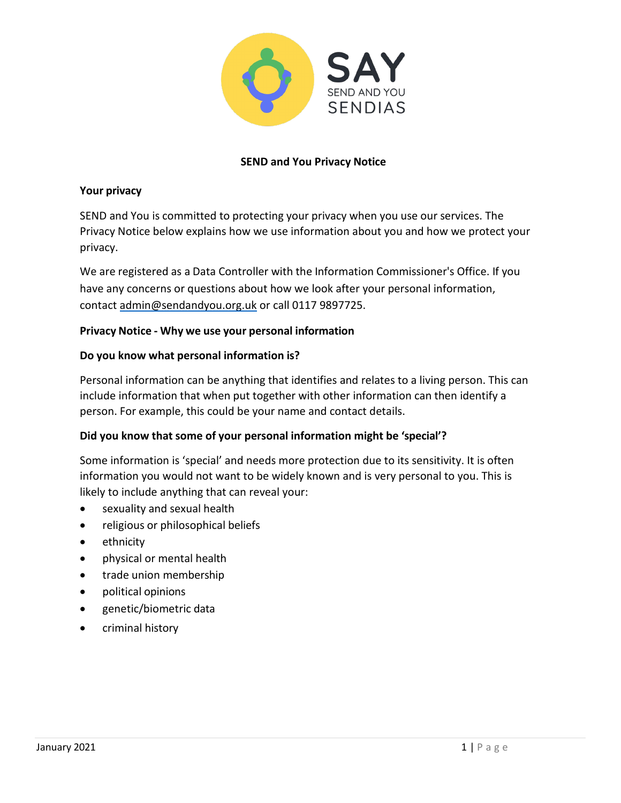

# **SEND and You Privacy Notice**

### **Your privacy**

SEND and You is committed to protecting your privacy when you use our services. The Privacy Notice below explains how we use information about you and how we protect your privacy.

We are registered as a Data Controller with the Information Commissioner's Office. If you have any concerns or questions about how we look after your personal information, contact [admin@sendandyou.org.uk](mailto:admin@sendandyou.org.uk) or call 0117 9897725.

### **Privacy Notice - Why we use your personal information**

### **Do you know what personal information is?**

Personal information can be anything that identifies and relates to a living person. This can include information that when put together with other information can then identify a person. For example, this could be your name and contact details.

### **Did you know that some of your personal information might be 'special'?**

Some information is 'special' and needs more protection due to its sensitivity. It is often information you would not want to be widely known and is very personal to you. This is likely to include anything that can reveal your:

- sexuality and sexual health
- religious or philosophical beliefs
- ethnicity
- physical or mental health
- trade union membership
- political opinions
- genetic/biometric data
- criminal history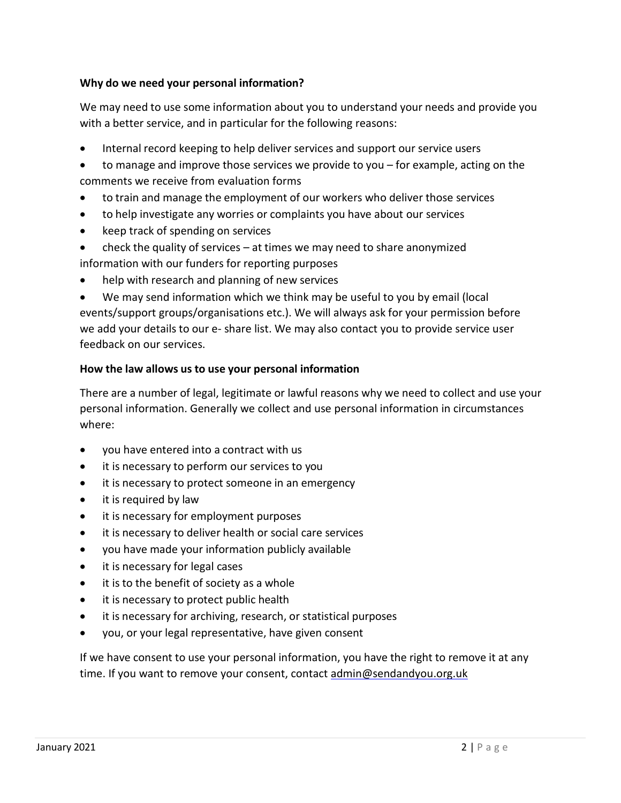# **Why do we need your personal information?**

We may need to use some information about you to understand your needs and provide you with a better service, and in particular for the following reasons:

- Internal record keeping to help deliver services and support our service users
- to manage and improve those services we provide to you for example, acting on the comments we receive from evaluation forms
- to train and manage the employment of our workers who deliver those services
- to help investigate any worries or complaints you have about our services
- keep track of spending on services
- check the quality of services  $-$  at times we may need to share anonymized

information with our funders for reporting purposes

help with research and planning of new services

• We may send information which we think may be useful to you by email (local events/support groups/organisations etc.). We will always ask for your permission before we add your details to our e- share list. We may also contact you to provide service user feedback on our services.

### **How the law allows us to use your personal information**

There are a number of legal, legitimate or lawful reasons why we need to collect and use your personal information. Generally we collect and use personal information in circumstances where:

- you have entered into a contract with us
- it is necessary to perform our services to you
- it is necessary to protect someone in an emergency
- it is required by law
- it is necessary for employment purposes
- it is necessary to deliver health or social care services
- you have made your information publicly available
- it is necessary for legal cases
- it is to the benefit of society as a whole
- it is necessary to protect public health
- it is necessary for archiving, research, or statistical purposes
- you, or your legal representative, have given consent

If we have consent to use your personal information, you have the right to remove it at any time. If you want to remove your consent, [contact admin@sendandyou.org.uk](mailto:dpo@supportiveparents.org.uk)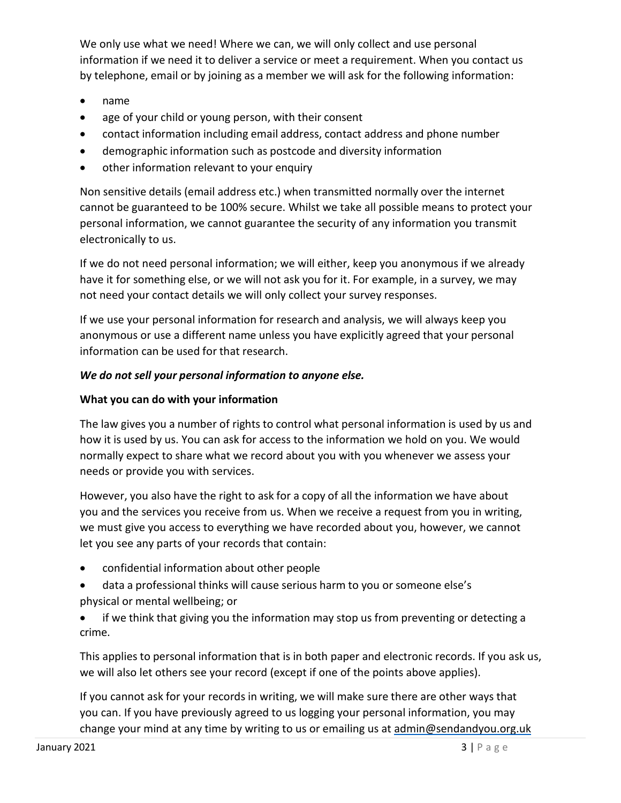We only use what we need! Where we can, we will only collect and use personal information if we need it to deliver a service or meet a requirement. When you contact us by telephone, email or by joining as a member we will ask for the following information:

- name
- age of your child or young person, with their consent
- contact information including email address, contact address and phone number
- demographic information such as postcode and diversity information
- other information relevant to your enquiry

Non sensitive details (email address etc.) when transmitted normally over the internet cannot be guaranteed to be 100% secure. Whilst we take all possible means to protect your personal information, we cannot guarantee the security of any information you transmit electronically to us.

If we do not need personal information; we will either, keep you anonymous if we already have it for something else, or we will not ask you for it. For example, in a survey, we may not need your contact details we will only collect your survey responses.

If we use your personal information for research and analysis, we will always keep you anonymous or use a different name unless you have explicitly agreed that your personal information can be used for that research.

# *We do not sell your personal information to anyone else.*

# **What you can do with your information**

The law gives you a number of rights to control what personal information is used by us and how it is used by us. You can ask for access to the information we hold on you. We would normally expect to share what we record about you with you whenever we assess your needs or provide you with services.

However, you also have the right to ask for a copy of all the information we have about you and the services you receive from us. When we receive a request from you in writing, we must give you access to everything we have recorded about you, however, we cannot let you see any parts of your records that contain:

- confidential information about other people
- data a professional thinks will cause serious harm to you or someone else's physical or mental wellbeing; or
- if we think that giving you the information may stop us from preventing or detecting a crime.

This applies to personal information that is in both paper and electronic records. If you ask us, we will also let others see your record (except if one of the points above applies).

If you cannot ask for your records in writing, we will make sure there are other ways that you can. If you have previously agreed to us logging your personal information, you may change your mind at any time by writing to us or emailing us at [admin@sendandyou.org.uk](mailto:admin@sendandyou.org.uk)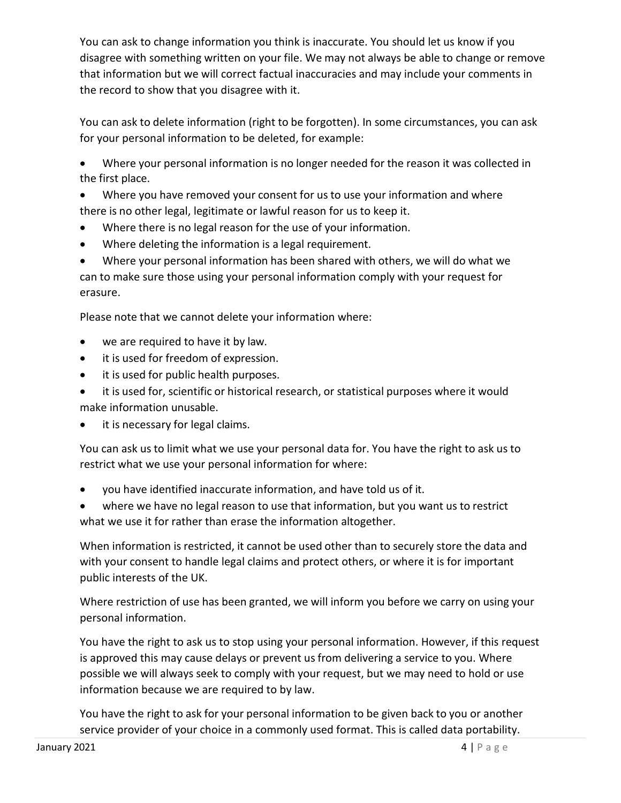You can ask to change information you think is inaccurate. You should let us know if you disagree with something written on your file. We may not always be able to change or remove that information but we will correct factual inaccuracies and may include your comments in the record to show that you disagree with it.

You can ask to delete information (right to be forgotten). In some circumstances, you can ask for your personal information to be deleted, for example:

• Where your personal information is no longer needed for the reason it was collected in the first place.

• Where you have removed your consent for us to use your information and where there is no other legal, legitimate or lawful reason for us to keep it.

- Where there is no legal reason for the use of your information.
- Where deleting the information is a legal requirement.

• Where your personal information has been shared with others, we will do what we can to make sure those using your personal information comply with your request for erasure.

Please note that we cannot delete your information where:

- we are required to have it by law.
- it is used for freedom of expression.
- it is used for public health purposes.
- it is used for, scientific or historical research, or statistical purposes where it would make information unusable.
- it is necessary for legal claims.

You can ask us to limit what we use your personal data for. You have the right to ask us to restrict what we use your personal information for where:

• you have identified inaccurate information, and have told us of it.

where we have no legal reason to use that information, but you want us to restrict what we use it for rather than erase the information altogether.

When information is restricted, it cannot be used other than to securely store the data and with your consent to handle legal claims and protect others, or where it is for important public interests of the UK.

Where restriction of use has been granted, we will inform you before we carry on using your personal information.

You have the right to ask us to stop using your personal information. However, if this request is approved this may cause delays or prevent us from delivering a service to you. Where possible we will always seek to comply with your request, but we may need to hold or use information because we are required to by law.

You have the right to ask for your personal information to be given back to you or another service provider of your choice in a commonly used format. This is called data portability.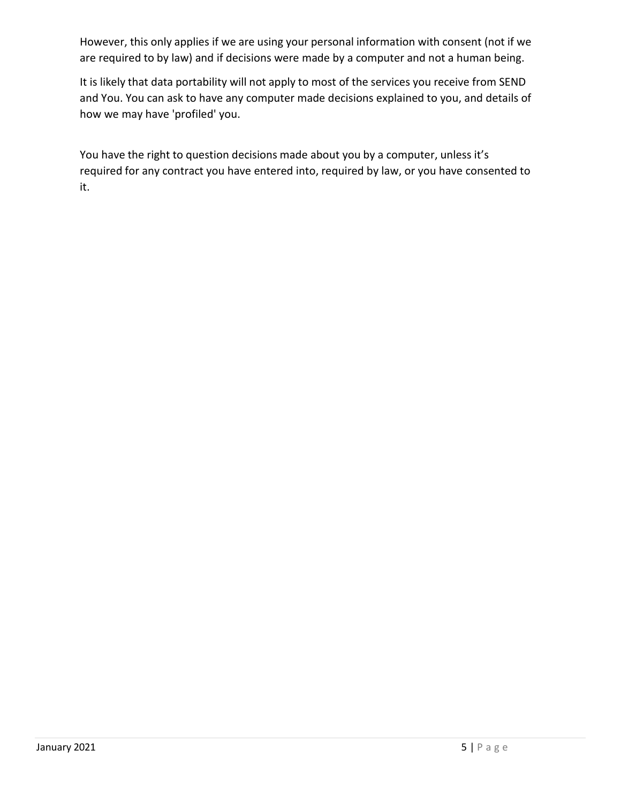However, this only applies if we are using your personal information with consent (not if we are required to by law) and if decisions were made by a computer and not a human being.

It is likely that data portability will not apply to most of the services you receive from SEND and You. You can ask to have any computer made decisions explained to you, and details of how we may have 'profiled' you.

You have the right to question decisions made about you by a computer, unless it's required for any contract you have entered into, required by law, or you have consented to it.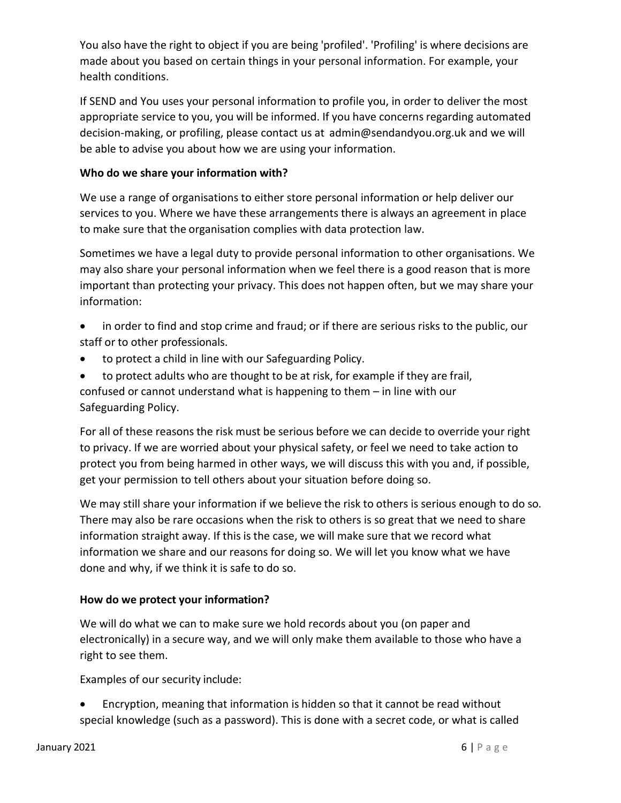You also have the right to object if you are being 'profiled'. 'Profiling' is where decisions are made about you based on certain things in your personal information. For example, your health conditions.

If SEND and You uses your personal information to profile you, in order to deliver the most appropriate service to you, you will be informed. If you have concerns regarding automated decision-making, or profiling, please contact us at [admin@sendandyou.org.uk a](mailto:admin@sendandyou.org.uk)nd we will be able to advise you about how we are using your information.

### **Who do we share your information with?**

We use a range of organisations to either store personal information or help deliver our services to you. Where we have these arrangements there is always an agreement in place to make sure that the organisation complies with data protection law.

Sometimes we have a legal duty to provide personal information to other organisations. We may also share your personal information when we feel there is a good reason that is more important than protecting your privacy. This does not happen often, but we may share your information:

- in order to find and stop crime and fraud; or if there are serious risks to the public, our staff or to other professionals.
- to protect a child in line with our Safeguarding Policy.
- to protect adults who are thought to be at risk, for example if they are frail, confused or cannot understand what is happening to them – in line with our Safeguarding Policy.

For all of these reasons the risk must be serious before we can decide to override your right to privacy. If we are worried about your physical safety, or feel we need to take action to protect you from being harmed in other ways, we will discuss this with you and, if possible, get your permission to tell others about your situation before doing so.

We may still share your information if we believe the risk to others is serious enough to do so. There may also be rare occasions when the risk to others is so great that we need to share information straight away. If this is the case, we will make sure that we record what information we share and our reasons for doing so. We will let you know what we have done and why, if we think it is safe to do so.

### **How do we protect your information?**

We will do what we can to make sure we hold records about you (on paper and electronically) in a secure way, and we will only make them available to those who have a right to see them.

Examples of our security include:

• Encryption, meaning that information is hidden so that it cannot be read without special knowledge (such as a password). This is done with a secret code, or what is called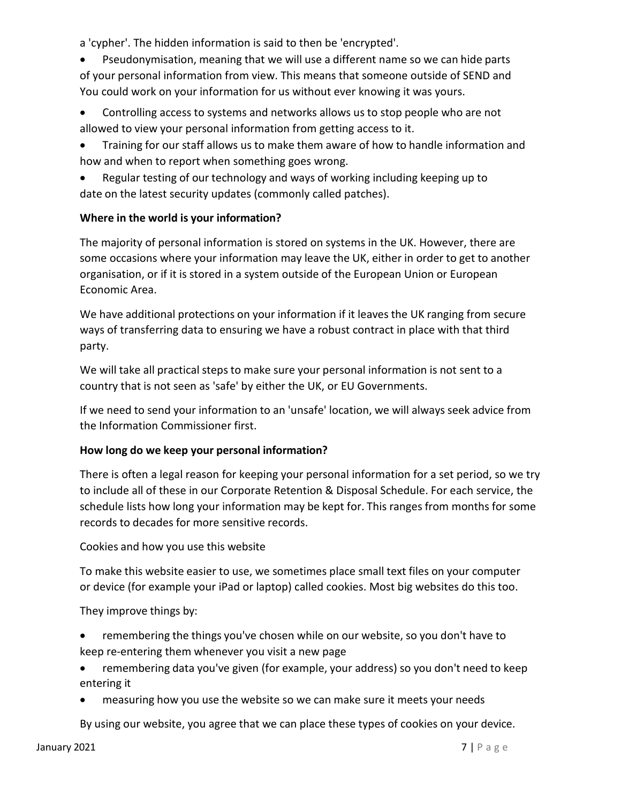a 'cypher'. The hidden information is said to then be 'encrypted'.

• Pseudonymisation, meaning that we will use a different name so we can hide parts of your personal information from view. This means that someone outside of SEND and You could work on your information for us without ever knowing it was yours.

- Controlling access to systems and networks allows us to stop people who are not allowed to view your personal information from getting access to it.
- Training for our staff allows us to make them aware of how to handle information and how and when to report when something goes wrong.
- Regular testing of our technology and ways of working including keeping up to date on the latest security updates (commonly called patches).

# **Where in the world is your information?**

The majority of personal information is stored on systems in the UK. However, there are some occasions where your information may leave the UK, either in order to get to another organisation, or if it is stored in a system outside of the European Union or European Economic Area.

We have additional protections on your information if it leaves the UK ranging from secure ways of transferring data to ensuring we have a robust contract in place with that third party.

We will take all practical steps to make sure your personal information is not sent to a country that is not seen as 'safe' by either the UK, or EU Governments.

If we need to send your information to an 'unsafe' location, we will always seek advice from the Information Commissioner first.

### **How long do we keep your personal information?**

There is often a legal reason for keeping your personal information for a set period, so we try to include all of these in our Corporate Retention & Disposal Schedule. For each service, the schedule lists how long your information may be kept for. This ranges from months for some records to decades for more sensitive records.

Cookies and how you use this website

To make this website easier to use, we sometimes place small text files on your computer or device (for example your iPad or laptop) called cookies. Most big websites do this too.

They improve things by:

- remembering the things you've chosen while on our website, so you don't have to keep re-entering them whenever you visit a new page
- remembering data you've given (for example, your address) so you don't need to keep entering it
- measuring how you use the website so we can make sure it meets your needs

By using our website, you agree that we can place these types of cookies on your device.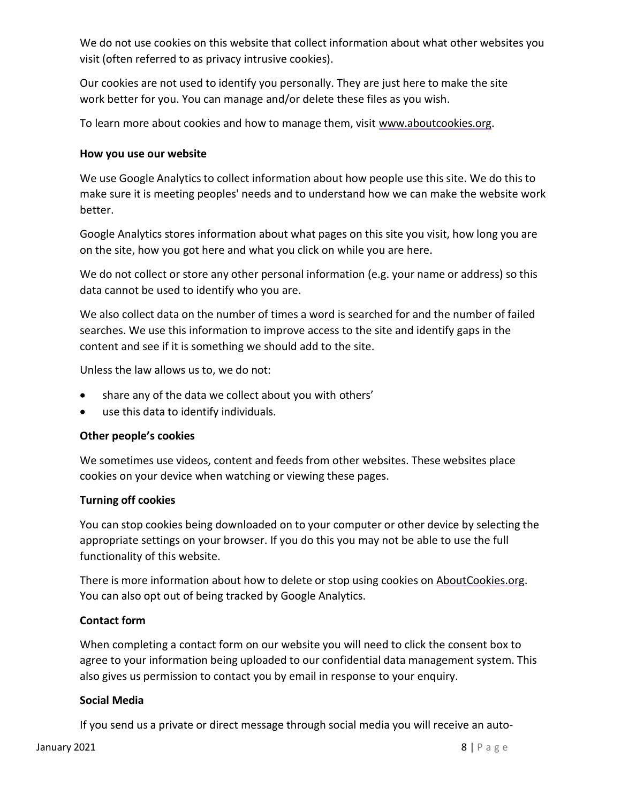We do not use cookies on this website that collect information about what other websites you visit (often referred to as privacy intrusive cookies).

Our cookies are not used to identify you personally. They are just here to make the site work better for you. You can manage and/or delete these files as you wish.

To learn more about cookies and how to manage them, visit [www.aboutcookies.org.](http://www.aboutcookies.org/)

### **How you use our website**

We use Google Analytics to collect information about how people use this site. We do this to make sure it is meeting peoples' needs and to understand how we can make the website work better.

Google Analytics stores information about what pages on this site you visit, how long you are on the site, how you got here and what you click on while you are here.

We do not collect or store any other personal information (e.g. your name or address) so this data cannot be used to identify who you are.

We also collect data on the number of times a word is searched for and the number of failed searches. We use this information to improve access to the site and identify gaps in the content and see if it is something we should add to the site.

Unless the law allows us to, we do not:

- share any of the data we collect about you with others'
- use this data to identify individuals.

### **Other people's cookies**

We sometimes use videos, content and feeds from other websites. These websites place cookies on your device when watching or viewing these pages.

### **Turning off cookies**

You can stop cookies being downloaded on to your computer or other device by selecting the appropriate settings on your browser. If you do this you may not be able to use the full functionality of this website.

There is more information about how to delete or stop using cookies on [AboutCookies.org.](https://www.aboutcookies.org/) You can also opt out of being tracked by Google Analytics.

### **Contact form**

When completing a contact form on our website you will need to click the consent box to agree to your information being uploaded to our confidential data management system. This also gives us permission to contact you by email in response to your enquiry.

### **Social Media**

If you send us a private or direct message through social media you will receive an auto-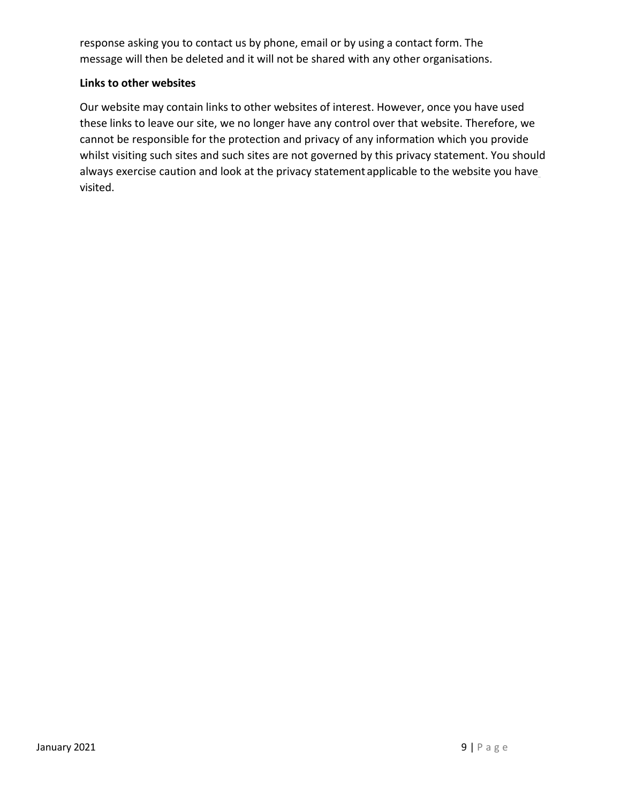response asking you to contact us by phone, email or by using a contact form. The message will then be deleted and it will not be shared with any other organisations.

### **Links to other websites**

Our website may contain links to other websites of interest. However, once you have used these links to leave our site, we no longer have any control over that website. Therefore, we cannot be responsible for the protection and privacy of any information which you provide whilst visiting such sites and such sites are not governed by this privacy statement. You should always exercise caution and look at the privacy statement applicable to the website you have visited.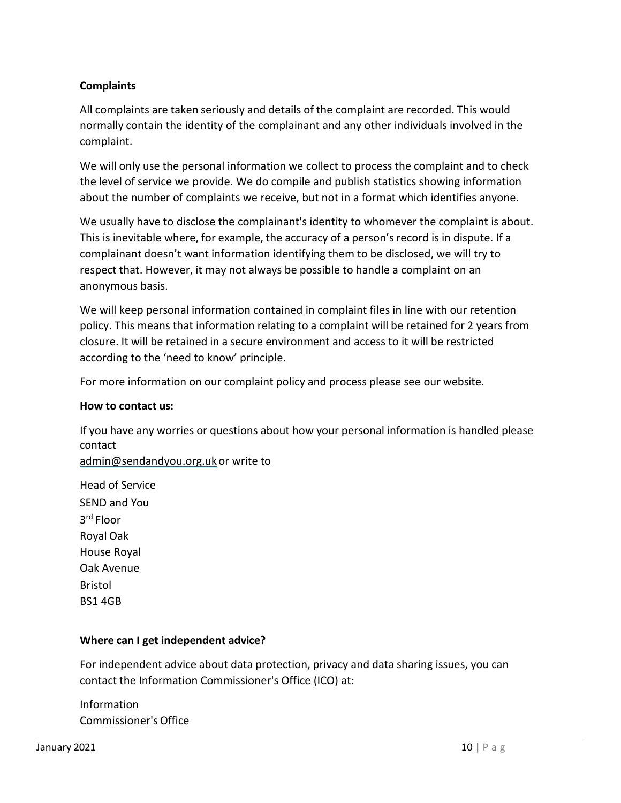# **Complaints**

All complaints are taken seriously and details of the complaint are recorded. This would normally contain the identity of the complainant and any other individuals involved in the complaint.

We will only use the personal information we collect to process the complaint and to check the level of service we provide. We do compile and publish statistics showing information about the number of complaints we receive, but not in a format which identifies anyone.

We usually have to disclose the complainant's identity to whomever the complaint is about. This is inevitable where, for example, the accuracy of a person's record is in dispute. If a complainant doesn't want information identifying them to be disclosed, we will try to respect that. However, it may not always be possible to handle a complaint on an anonymous basis.

We will keep personal information contained in complaint files in line with our retention policy. This means that information relating to a complaint will be retained for 2 years from closure. It will be retained in a secure environment and access to it will be restricted according to the 'need to know' principle.

For more information on our complaint policy and process please see our website.

### **How to contact us:**

If you have any worries or questions about how your personal information is handled please contact [admin@sendandyou.org.uk](mailto:admin@sendandyou.org.uk) [or](mailto:admin@sendandyou.org.uk) write to

Head of Service SEND and You 3rd Floor Royal Oak House Royal Oak Avenue Bristol BS1 4GB

### **Where can I get independent advice?**

For independent advice about data protection, privacy and data sharing issues, you can contact the Information Commissioner's Office (ICO) at:

Information Commissioner's Office